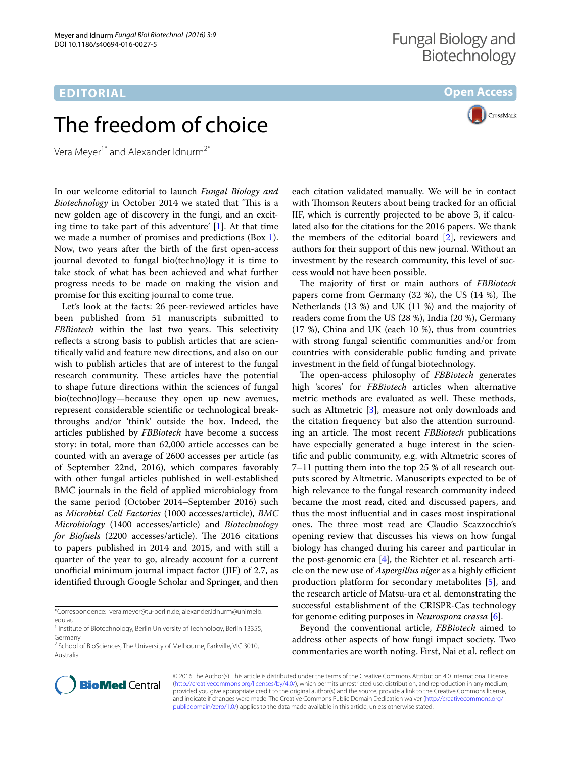## **EDITORIAL**

**Open Access**



## The freedom of choice

Vera Meyer<sup>1\*</sup> and Alexander Idnurm<sup>2\*</sup>

In our welcome editorial to launch *Fungal Biology and Biotechnology* in October 2014 we stated that 'This is a new golden age of discovery in the fungi, and an exciting time to take part of this adventure' [[1\]](#page-1-0). At that time we made a number of promises and predictions (Box [1](#page-1-1)). Now, two years after the birth of the first open-access journal devoted to fungal bio(techno)logy it is time to take stock of what has been achieved and what further progress needs to be made on making the vision and promise for this exciting journal to come true.

Let's look at the facts: 26 peer-reviewed articles have been published from 51 manuscripts submitted to *FBBiotech* within the last two years. This selectivity reflects a strong basis to publish articles that are scientifically valid and feature new directions, and also on our wish to publish articles that are of interest to the fungal research community. These articles have the potential to shape future directions within the sciences of fungal bio(techno)logy—because they open up new avenues, represent considerable scientific or technological breakthroughs and/or 'think' outside the box. Indeed, the articles published by *FBBiotech* have become a success story: in total, more than 62,000 article accesses can be counted with an average of 2600 accesses per article (as of September 22nd, 2016), which compares favorably with other fungal articles published in well-established BMC journals in the field of applied microbiology from the same period (October 2014–September 2016) such as *Microbial Cell Factories* (1000 accesses/article), *BMC Microbiology* (1400 accesses/article) and *Biotechnology for Biofuels* (2200 accesses/article). The 2016 citations to papers published in 2014 and 2015, and with still a quarter of the year to go, already account for a current unofficial minimum journal impact factor (JIF) of 2.7, as identified through Google Scholar and Springer, and then

\*Correspondence: vera.meyer@tu‑berlin.de; alexander.idnurm@unimelb. edu.au

each citation validated manually. We will be in contact with Thomson Reuters about being tracked for an official JIF, which is currently projected to be above 3, if calculated also for the citations for the 2016 papers. We thank the members of the editorial board [\[2\]](#page-1-2), reviewers and authors for their support of this new journal. Without an investment by the research community, this level of success would not have been possible.

The majority of first or main authors of *FBBiotech* papers come from Germany (32 %), the US (14 %), The Netherlands (13 %) and UK (11 %) and the majority of readers come from the US (28 %), India (20 %), Germany (17 %), China and UK (each 10 %), thus from countries with strong fungal scientific communities and/or from countries with considerable public funding and private investment in the field of fungal biotechnology.

The open-access philosophy of *FBBiotech* generates high 'scores' for *FBBiotech* articles when alternative metric methods are evaluated as well. These methods, such as Altmetric [\[3](#page-1-3)], measure not only downloads and the citation frequency but also the attention surrounding an article. The most recent *FBBiotech* publications have especially generated a huge interest in the scientific and public community, e.g. with Altmetric scores of 7–11 putting them into the top 25 % of all research outputs scored by Altmetric. Manuscripts expected to be of high relevance to the fungal research community indeed became the most read, cited and discussed papers, and thus the most influential and in cases most inspirational ones. The three most read are Claudio Scazzocchio's opening review that discusses his views on how fungal biology has changed during his career and particular in the post-genomic era  $[4]$  $[4]$ , the Richter et al. research article on the new use of *Aspergillus niger* as a highly efficient production platform for secondary metabolites [\[5](#page-1-5)], and the research article of Matsu-ura et al. demonstrating the successful establishment of the CRISPR-Cas technology for genome editing purposes in *Neurospora crassa* [[6](#page-1-6)].

Beyond the conventional article, *FBBiotech* aimed to address other aspects of how fungi impact society. Two commentaries are worth noting. First, Nai et al. reflect on



© 2016 The Author(s). This article is distributed under the terms of the Creative Commons Attribution 4.0 International License [\(http://creativecommons.org/licenses/by/4.0/\)](http://creativecommons.org/licenses/by/4.0/), which permits unrestricted use, distribution, and reproduction in any medium, provided you give appropriate credit to the original author(s) and the source, provide a link to the Creative Commons license, and indicate if changes were made. The Creative Commons Public Domain Dedication waiver ([http://creativecommons.org/](http://creativecommons.org/publicdomain/zero/1.0/) [publicdomain/zero/1.0/](http://creativecommons.org/publicdomain/zero/1.0/)) applies to the data made available in this article, unless otherwise stated.

<sup>&</sup>lt;sup>1</sup> Institute of Biotechnology, Berlin University of Technology, Berlin 13355, Germany

<sup>&</sup>lt;sup>2</sup> School of BioSciences, The University of Melbourne, Parkville, VIC 3010, Australia